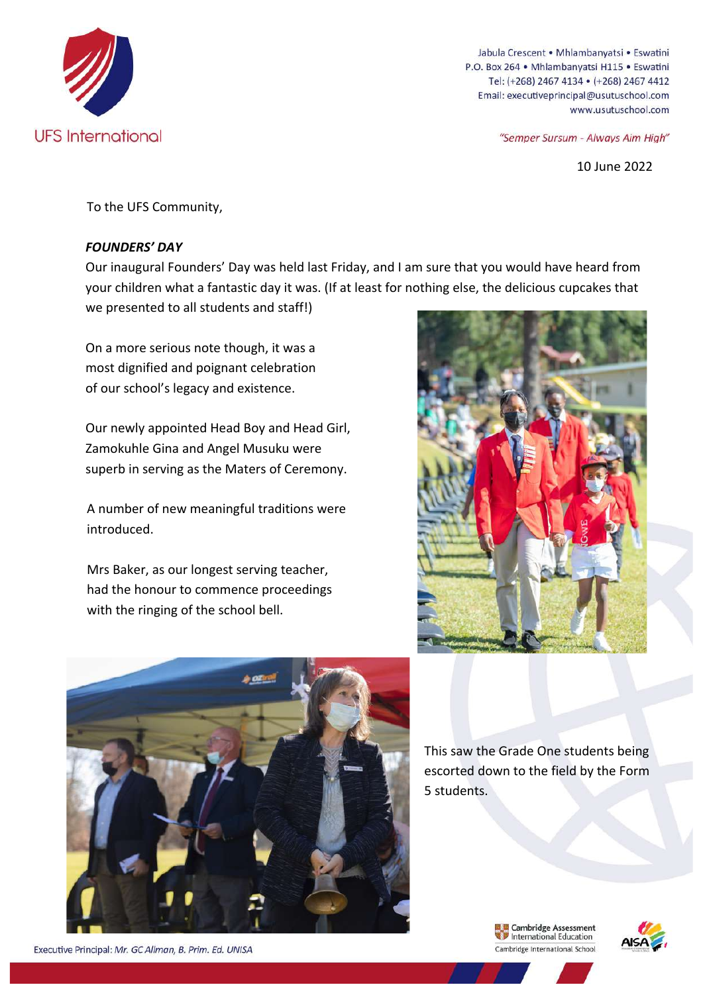

Jabula Crescent . Mhlambanyatsi . Eswatini P.O. Box 264 · Mhlambanyatsi H115 · Eswatini Tel: (+268) 2467 4134 · (+268) 2467 4412 Email: executiveprincipal@usutuschool.com www.usutuschool.com

"Semper Sursum - Always Aim High"

10 June 2022

To the UFS Community,

## *FOUNDERS' DAY*

Our inaugural Founders' Day was held last Friday, and I am sure that you would have heard from your children what a fantastic day it was. (If at least for nothing else, the delicious cupcakes that we presented to all students and staff!)

On a more serious note though, it was a most dignified and poignant celebration of our school's legacy and existence.

Our newly appointed Head Boy and Head Girl, Zamokuhle Gina and Angel Musuku were superb in serving as the Maters of Ceremony.

A number of new meaningful traditions were introduced. 

Mrs Baker, as our longest serving teacher, had the honour to commence proceedings with the ringing of the school bell.





Executive Principal: Mr. GC Allman, B. Prim. Ed. UNISA

This saw the Grade One students being escorted down to the field by the Form 5 students.

> **Example 2** Cambridge Assessment<br>
> The International Education Cambridge International School

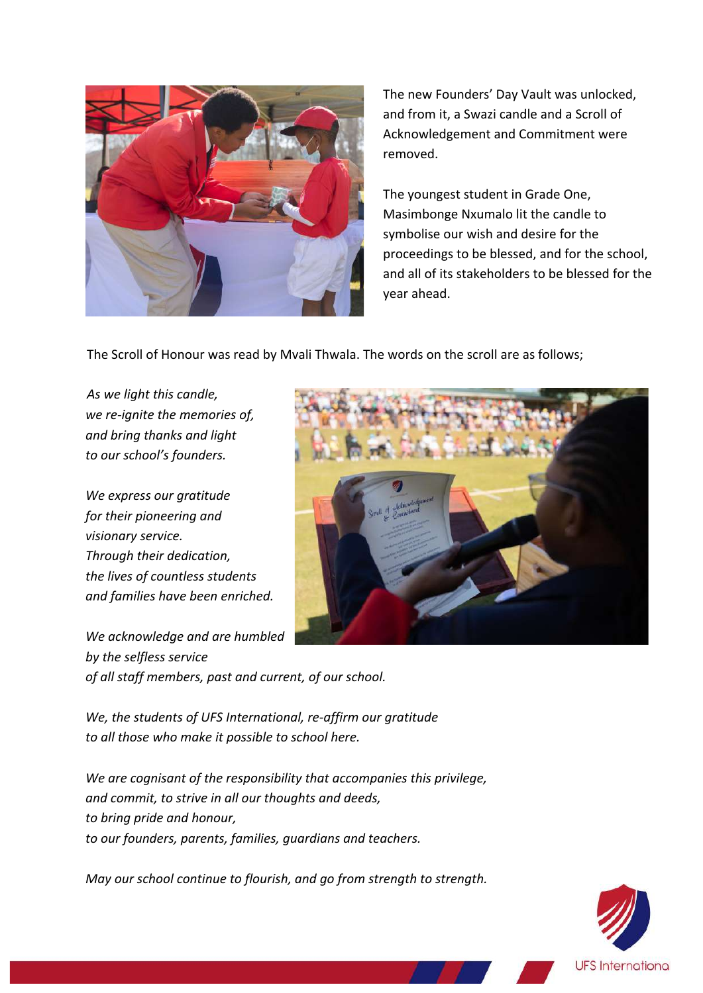

The new Founders' Day Vault was unlocked, and from it, a Swazi candle and a Scroll of Acknowledgement and Commitment were removed. 

The youngest student in Grade One, Masimbonge Nxumalo lit the candle to symbolise our wish and desire for the proceedings to be blessed, and for the school, and all of its stakeholders to be blessed for the year ahead. 

The Scroll of Honour was read by Mvali Thwala. The words on the scroll are as follows;

*As we light this candle, we re-ignite the memories of, and bring thanks and light to our school's founders.*

*We express our gratitude for their pioneering and visionary service. Through their dedication, the lives of countless students and families have been enriched.*

We acknowledge and are humbled *by the selfless service* of all staff members, past and current, of our school.



We, the students of UFS International, re-affirm our gratitude *to all those who make it possible to school here.* 

We are cognisant of the responsibility that accompanies this privilege, and commit, to strive in all our thoughts and deeds, *to bring pride and honour,* to our founders, parents, families, guardians and teachers.

*May our school continue to flourish, and go from strength to strength.* 

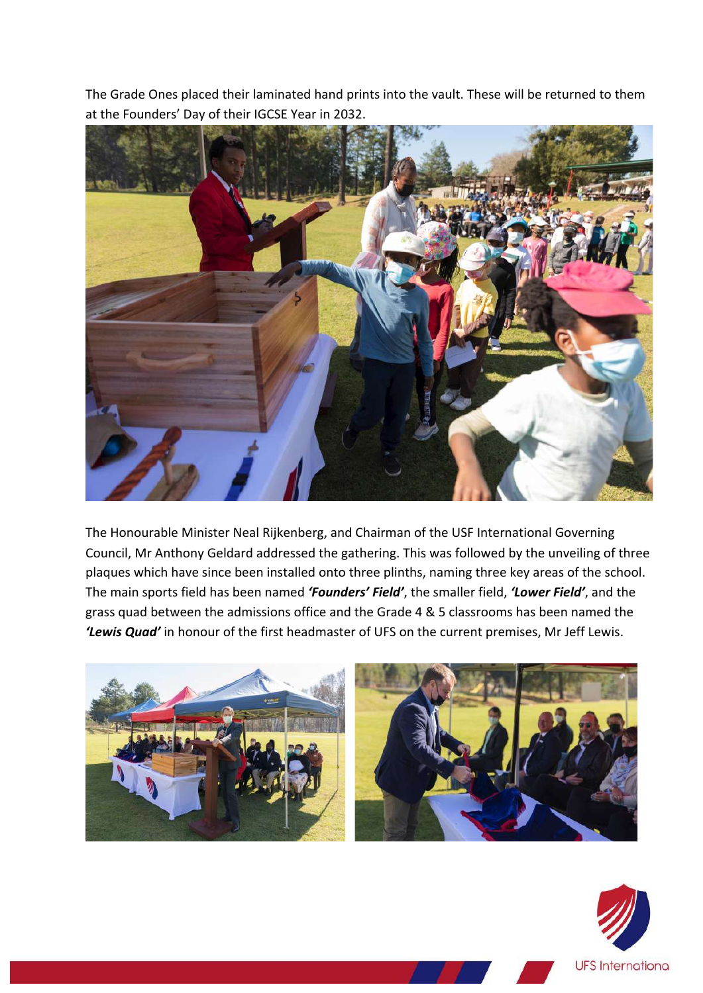The Grade Ones placed their laminated hand prints into the vault. These will be returned to them at the Founders' Day of their IGCSE Year in 2032.



The Honourable Minister Neal Rijkenberg, and Chairman of the USF International Governing Council, Mr Anthony Geldard addressed the gathering. This was followed by the unveiling of three plaques which have since been installed onto three plinths, naming three key areas of the school. The main sports field has been named 'Founders' Field', the smaller field, 'Lower Field', and the grass quad between the admissions office and the Grade 4 & 5 classrooms has been named the 'Lewis Quad' in honour of the first headmaster of UFS on the current premises, Mr Jeff Lewis.



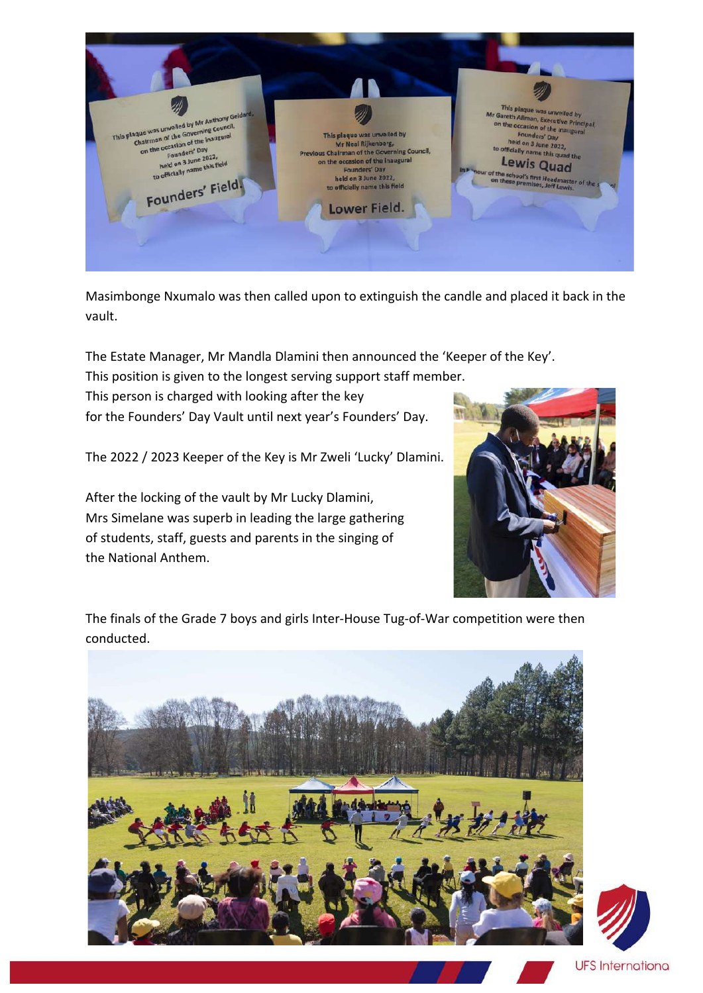

Masimbonge Nxumalo was then called upon to extinguish the candle and placed it back in the vault. 

The Estate Manager, Mr Mandla Dlamini then announced the 'Keeper of the Key'.

This position is given to the longest serving support staff member.

This person is charged with looking after the key for the Founders' Day Vault until next year's Founders' Day.

The 2022 / 2023 Keeper of the Key is Mr Zweli 'Lucky' Dlamini.

After the locking of the vault by Mr Lucky Dlamini, Mrs Simelane was superb in leading the large gathering of students, staff, guests and parents in the singing of the National Anthem.



The finals of the Grade 7 boys and girls Inter-House Tug-of-War competition were then conducted.



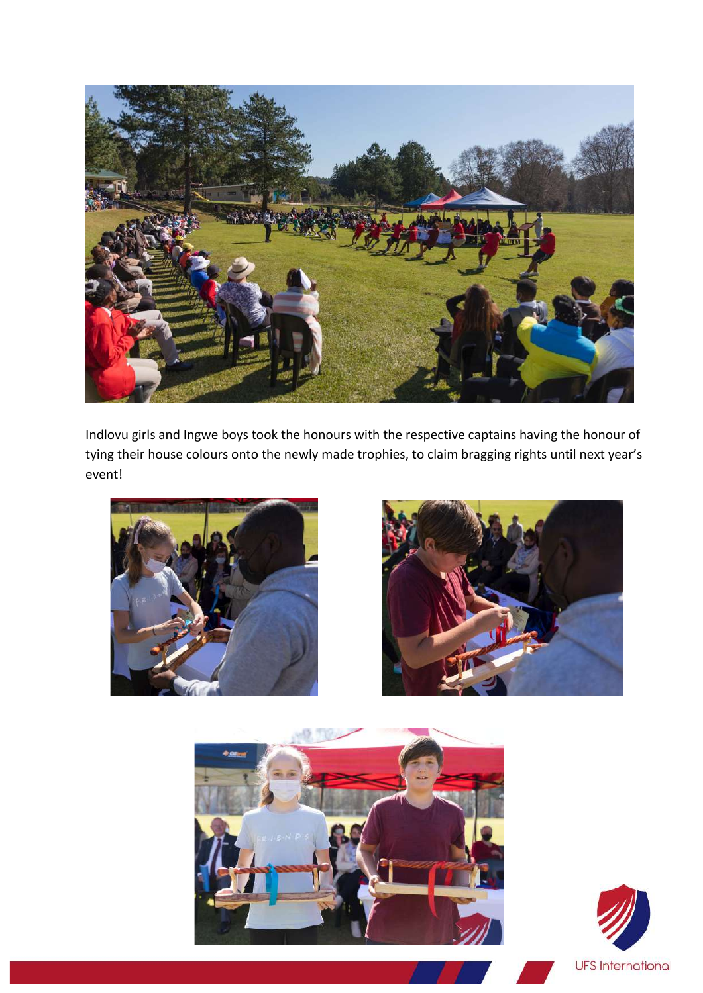

Indlovu girls and Ingwe boys took the honours with the respective captains having the honour of tying their house colours onto the newly made trophies, to claim bragging rights until next year's event!







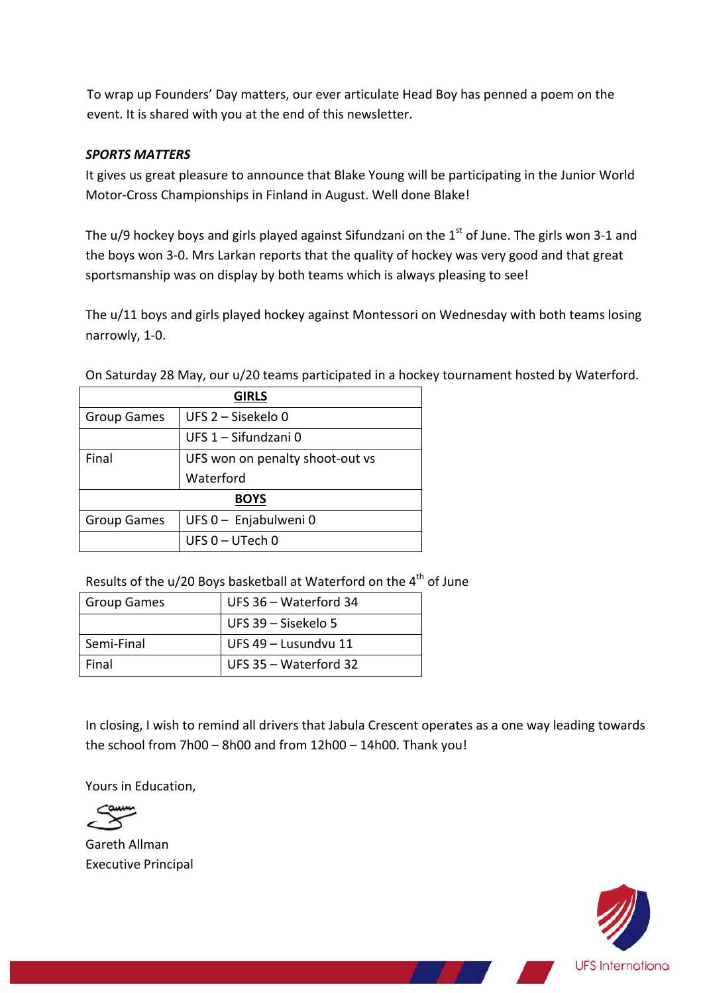To wrap up Founders' Day matters, our ever articulate Head Boy has penned a poem on the event. It is shared with you at the end of this newsletter.

## *SPORTS MATTERS*

It gives us great pleasure to announce that Blake Young will be participating in the Junior World Motor-Cross Championships in Finland in August. Well done Blake!

The u/9 hockey boys and girls played against Sifundzani on the  $1<sup>st</sup>$  of June. The girls won 3-1 and the boys won 3-0. Mrs Larkan reports that the quality of hockey was very good and that great sportsmanship was on display by both teams which is always pleasing to see!

The u/11 boys and girls played hockey against Montessori on Wednesday with both teams losing narrowly, 1-0.

| <b>GIRLS</b>       |                                 |  |
|--------------------|---------------------------------|--|
| <b>Group Games</b> | UFS 2 - Sisekelo 0              |  |
|                    | UFS 1 - Sifundzani 0            |  |
| Final              | UFS won on penalty shoot-out vs |  |
|                    | Waterford                       |  |
| <b>BOYS</b>        |                                 |  |
| <b>Group Games</b> | UFS 0 - Enjabulweni 0           |  |
|                    | UFS 0 - UTech 0                 |  |

On Saturday 28 May, our u/20 teams participated in a hockey tournament hosted by Waterford.

Results of the  $u/20$  Boys basketball at Waterford on the  $4<sup>th</sup>$  of June

| <b>Group Games</b> | UFS 36 - Waterford 34   |
|--------------------|-------------------------|
|                    | UFS 39 - Sisekelo 5     |
| Semi-Final         | UFS 49 - Lusundvu 11    |
| Final              | UFS $35 - Waterford 32$ |

In closing, I wish to remind all drivers that Jabula Crescent operates as a one way leading towards the school from  $7h00 - 8h00$  and from  $12h00 - 14h00$ . Thank you!

Yours in Education,



Gareth Allman Executive Principal